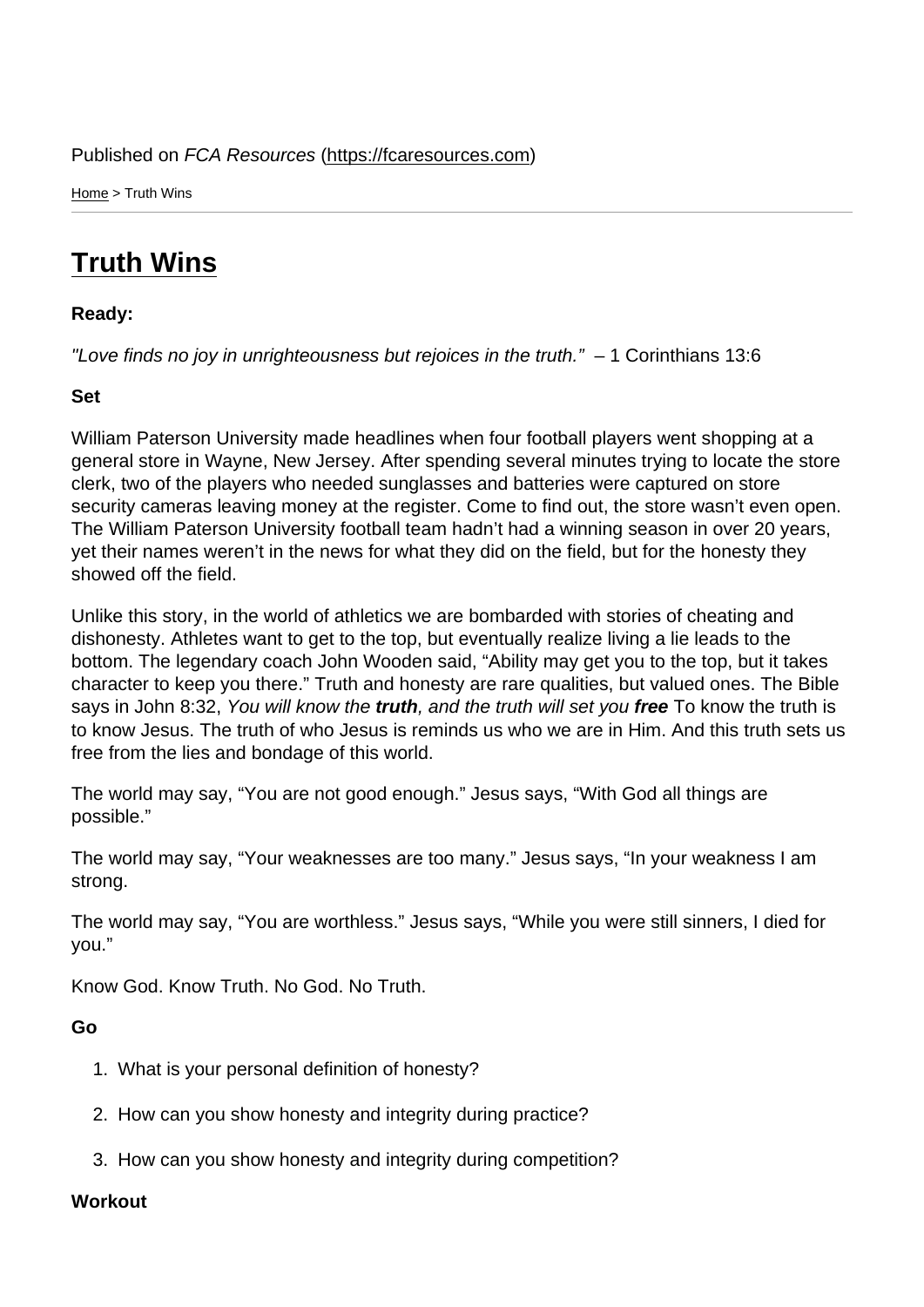Home > Truth Wins

## [Tru](https://fcaresources.com/)th Wins

Ready:

["Love finds no joy](https://fcaresources.com/devotional/truth-wins) in unrighteousness but rejoices in the truth."  $-1$  Corinthians 13:6

Set

William Paterson University made headlines when four football players went shopping at a general store in Wayne, New Jersey. After spending several minutes trying to locate the store clerk, two of the players who needed sunglasses and batteries were captured on store security cameras leaving money at the register. Come to find out, the store wasn't even open. The William Paterson University football team hadn't had a winning season in over 20 years, yet their names weren't in the news for what they did on the field, but for the honesty they showed off the field.

Unlike this story, in the world of athletics we are bombarded with stories of cheating and dishonesty. Athletes want to get to the top, but eventually realize living a lie leads to the bottom. The legendary coach John Wooden said, "Ability may get you to the top, but it takes character to keep you there." Truth and honesty are rare qualities, but valued ones. The Bible says in John 8:32, You will know the truth , and the truth will set you free To know the truth is to know Jesus. The truth of who Jesus is reminds us who we are in Him. And this truth sets us free from the lies and bondage of this world.

The world may say, "You are not good enough." Jesus says, "With God all things are possible."

The world may say, "Your weaknesses are too many." Jesus says, "In your weakness I am strong.

The world may say, "You are worthless." Jesus says, "While you were still sinners, I died for you."

Know God. Know Truth. No God. No Truth.

Go

- 1. What is your personal definition of honesty?
- 2. How can you show honesty and integrity during practice?
- 3. How can you show honesty and integrity during competition?

**Workout**